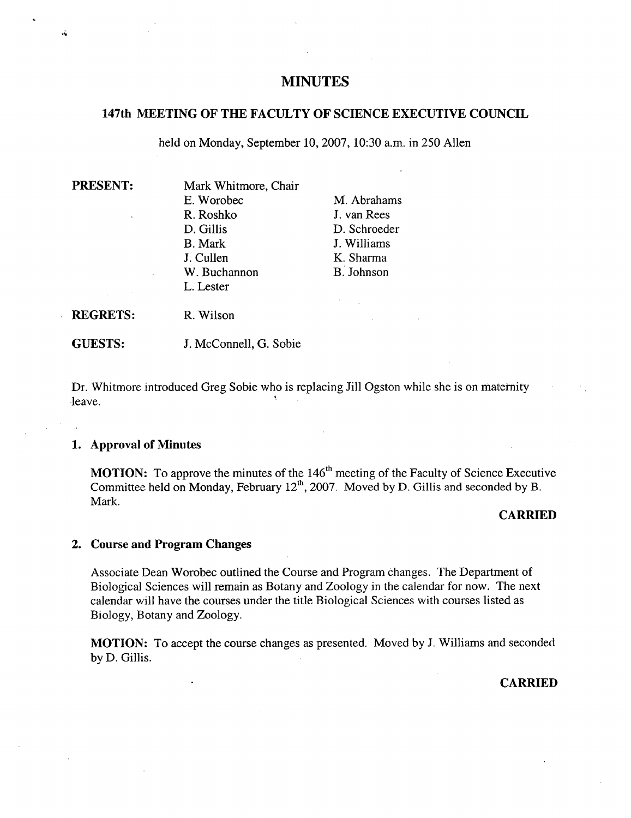# **MINUTES**

# **147th MEETING OF THE FACULTY OF SCIENCE EXECUTIVE COUNCIL**

held on Monday, September 10, 2007, 10:30 a.m. in 250 Allen

ن.<br>مار

**PRESENT:** Mark Whitmore, Chair E. Worobec M. Abrahams R. Roshko J. van Rees D. Gillis D. Schroeder B. Mark J. Williams J. Cullen K. Sharma W. Buchannon B. Johnson L. Lester

**REGRETS:** R. Wilson

**GUESTS:** J. McConnell, G. Sobie

Dr. 'Whitmore introduced Greg Sobie who is replacing Jill Ogston while she is on maternity leave.

#### **Approval of Minutes**

**MOTION:** To approve the minutes of the 146<sup>th</sup> meeting of the Faculty of Science Executive Committee held on Monday, February 12<sup>th</sup>, 2007. Moved by D. Gillis and seconded by B. Mark.

### **CARRIED**

#### **Course and Program Changes**

Associate Dean Worobec outlined the Course and Program changes. The Department of Biological Sciences will remain as Botany and Zoology in the calendar for now. The next calendar will have the courses under the title Biological Sciences with courses listed as Biology, Botany and Zoology.

MOTION: To accept the course changes as presented. Moved by J. Williams and seconded by D. Gillis.

**CARRIED**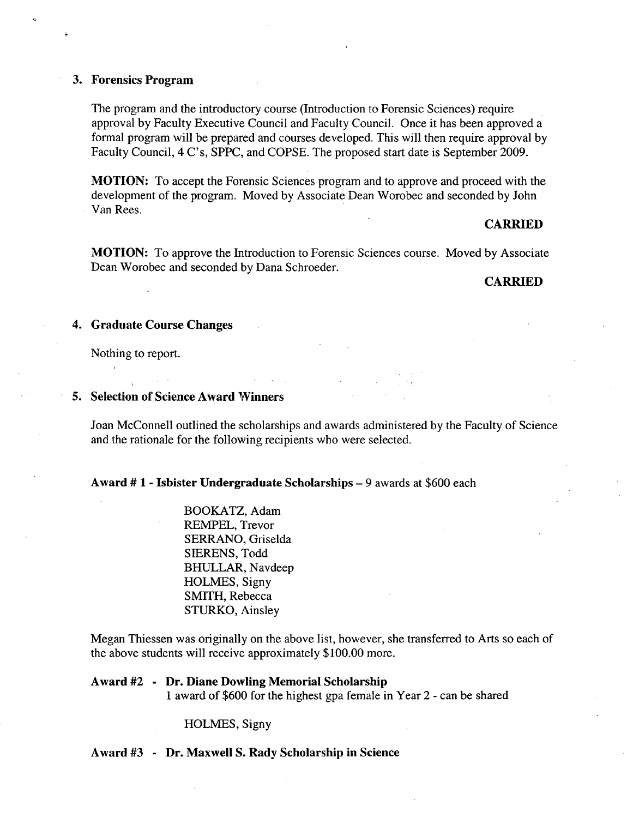### **Forensics Program**

The program and the introductory course (Introduction to Forensic Sciences) require approval by Faculty Executive Council and Faculty Council. Once it has been approved a formal program will be prepared and courses developed. This will then require approval by Faculty Council, 4 C's, SPPC, and COPSE. The proposed start date is September 2009.

**MOTION:** To accept the Forensic Sciences program and to approve and proceed with the development of the program. Moved by Associate Dean Worobec and seconded by John Van Rees.

#### **CARRIED**

**MOTION:** To approve the Introduction to Forensic Sciences course. Moved by Associate Dean Worobec and seconded by Dana Schroeder.

#### **CARRIED**

### **Graduate Course Changes**

Nothing to report.

### **5. Selection of Science Award Winners**

Joan McConnell outlined the scholarships and awards administered by the Faculty of Science and the rationale for the following recipients who were selected.

## **Award # 1** - **Isbister Undergraduate Scholarships -** 9 awards at \$600 each

BOOKATZ, Adam REMPEL, Trevor SERRANO, Griselda SIERENS, Todd BHIJLLAR, Navdeep HOLMES, Signy SMITH, Rebecca STURKO, Ainsley

Megan Thiessen was originally on the above list, however, she transferred to Arts so each of the above students will receive approximately \$100.00 more.

# **Award** #2 **- Dr. Diane Dowling Memorial Scholarship**  1 award of \$600 for the highest gpa female in Year 2 - can be shared

### HOLMES, Signy

**Award #3 - Dr. Maxwell S. Rady Scholarship in Science**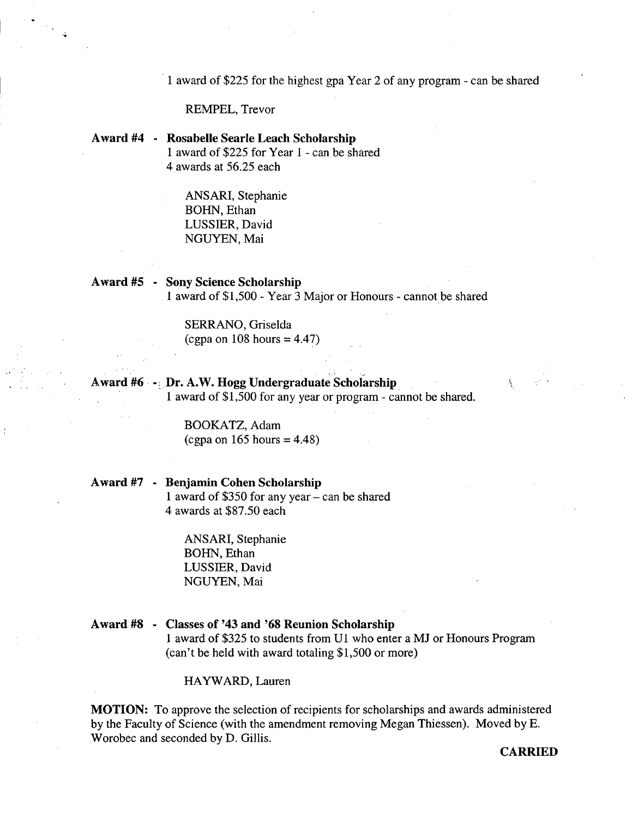1 award of \$225 for the highest gpa Year 2 of any program - can be shared

REMPEL, Trevor

**Award #4 - Rosabelle Searle Leach Scholarship**  1 award of \$225 for Year 1 - can be shared *4* awards at *56.25* each

> ANSARI, Stephanie BOHN, Ethan LUSSIER, David NGUYEN, Mai

**Award** *#5* **- Sony Science Scholarship**  1 award of \$1,500 - Year 3 Major or Honours - cannot be shared

> SERRANO, Griselda (cgpa on 108 hours = *4.47)*

Award #6 - Dr. A.W. Hogg Undergraduate Scholarship 1 award of \$1,500 for any year or program - cannot be shared.

> BOOKATZ, Adam (cgpa on  $165$  hours = 4.48)

**Award** #7 - **Benjamin Cohen Scholarship**  1 award of \$350 for any year - can be shared *4* awards at \$87.50 each

> ANSARI, Stephanie BOHN, Ethan LUSSIER, David NGUYEN, Mai

**Award #8** - **Classes of 143 and '68 Reunion Scholarship**  1 award of \$325 to students from Ui who enter a MJ or Honours Program (can't be held with award totaling \$1,500 or more)

HAYWARD, Lauren

**MOTION:** To approve the selection of recipients for scholarships and awards administered by the Faculty of Science (with the amendment removing Megan Thiessen). Moved by E. Worobec and seconded by D. Gillis.

**CARRIED**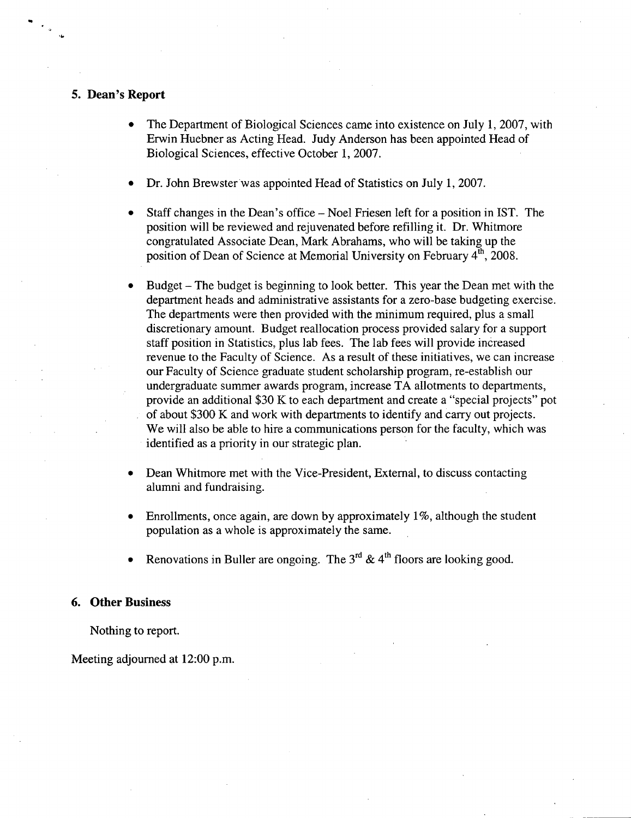### *5.* **Dean's Report**

- The Department of Biological Sciences came into existence on July 1, 2007, with Erwin Huebner as Acting Head. Judy Anderson has been appointed Head of Biological Sciences, effective October 1, 2007.
- Dr. John Brewster was appointed Head of Statistics on July 1, 2007.
- Staff changes in the Dean's office Noel Friesen left for a position in 1ST. The position will be reviewed and rejuvenated before refilling it. Dr. Whitmore congratulated Associate Dean, Mark Abrahams, who will be taking up the position of Dean of Science at Memorial University on February 4<sup>th</sup>, 2008.
- Budget The budget is beginning to look better. This year the Dean met with the department heads and administrative assistants for a zero-base budgeting exercise. The departments were then provided with the minimum required, plus a small discretionary amount. Budget reallocation process provided salary for a support staff position in Statistics, plus lab fees. The lab fees will provide increased revenue to the Faculty of Science. As a result of these initiatives, we can increase our Faculty of Science graduate student scholarship program, re-establish our undergraduate summer awards program, increase TA allotments to departments, provide an additional \$30 K to each department and create a "special projects" pot of about \$300 K and work with departments to identify and carry out projects. We will also be able to hire a communications person for the faculty, which was identified as a priority in our strategic plan.
- Dean Whitmore met with the Vice-President, External, to discuss contacting alumni and fundraising.
- Enrollments, once again, are down by approximately 1%, although the student population as a whole is approximately the same.
- Renovations in Buller are ongoing. The  $3^{rd}$  &  $4^{th}$  floors are looking good.

#### **6. Other Business**

Nothing to report.

#### Meeting adjourned at 12:00 p.m.